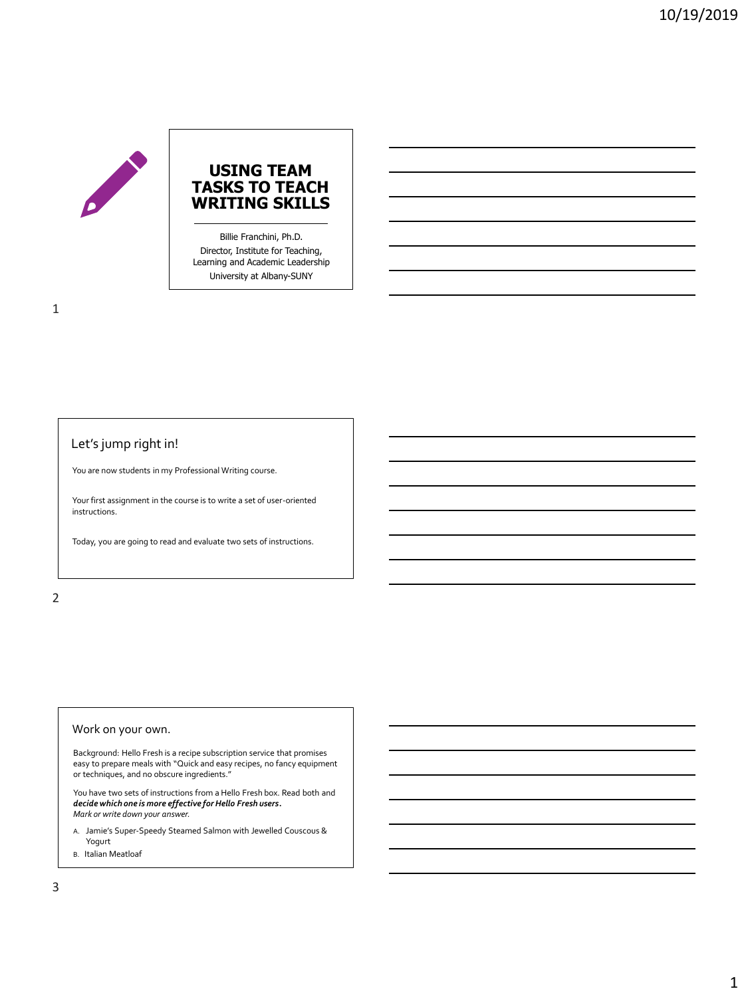

Billie Franchini, Ph.D. Director, Institute for Teaching, Learning and Academic Leadership University at Albany-SUNY

# Let's jump right in!

You are now students in my Professional Writing course.

Your first assignment in the course is to write a set of user-oriented instructions.

Today, you are going to read and evaluate two sets of instructions.

## 2

### Work on your own.

Background: Hello Fresh is a recipe subscription service that promises easy to prepare meals with "Quick and easy recipes, no fancy equipment or techniques, and no obscure ingredients."

You have two sets of instructions from a Hello Fresh box. Read both and *decide which one is more effective for Hello Fresh users***.** *Mark or write down your answer.*

- A. Jamie's Super-Speedy Steamed Salmon with Jewelled Couscous & Yogurt
- B. Italian Meatloaf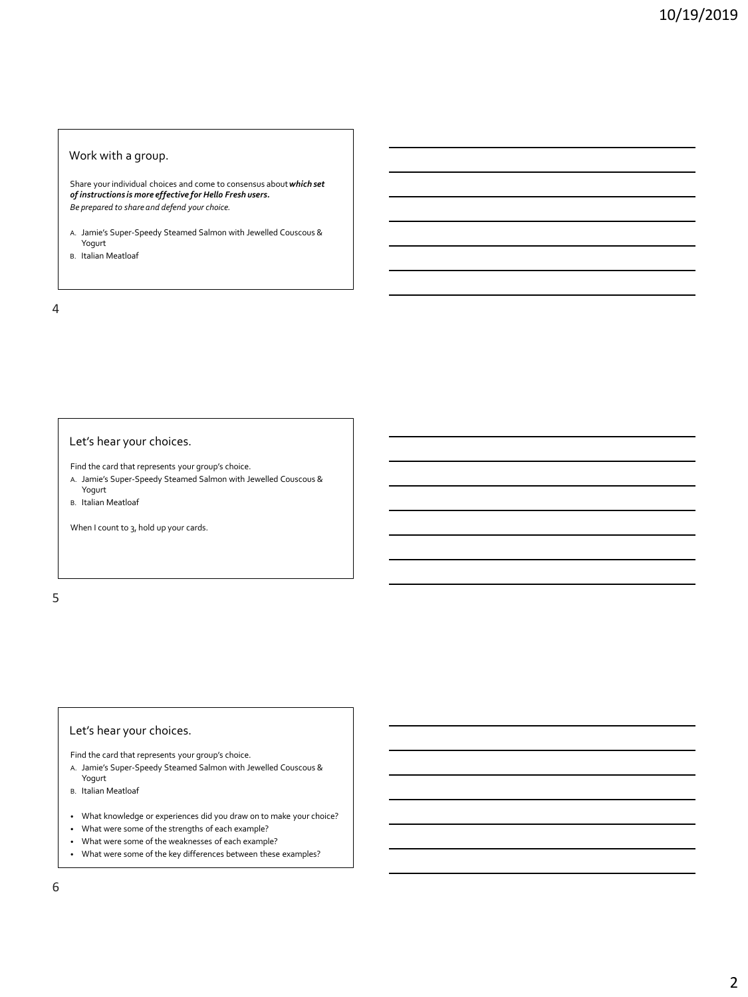### Work with a group.

Share your individual choices and come to consensus about *which set of instructions is more effective for Hello Fresh users. Be prepared to share and defend your choice.*

- A. Jamie's Super-Speedy Steamed Salmon with Jewelled Couscous & Yogurt
- B. Italian Meatloaf

4

### Let's hear your choices.

Find the card that represents your group's choice.

- A. Jamie's Super-Speedy Steamed Salmon with Jewelled Couscous & Yogurt
- B. Italian Meatloaf

When I count to 3, hold up your cards.

5

## Let's hear your choices.

Find the card that represents your group's choice.

- A. Jamie's Super-Speedy Steamed Salmon with Jewelled Couscous & Yogurt
- B. Italian Meatloaf
- What knowledge or experiences did you draw on to make your choice?
- What were some of the strengths of each example?
- What were some of the weaknesses of each example?
- What were some of the key differences between these examples?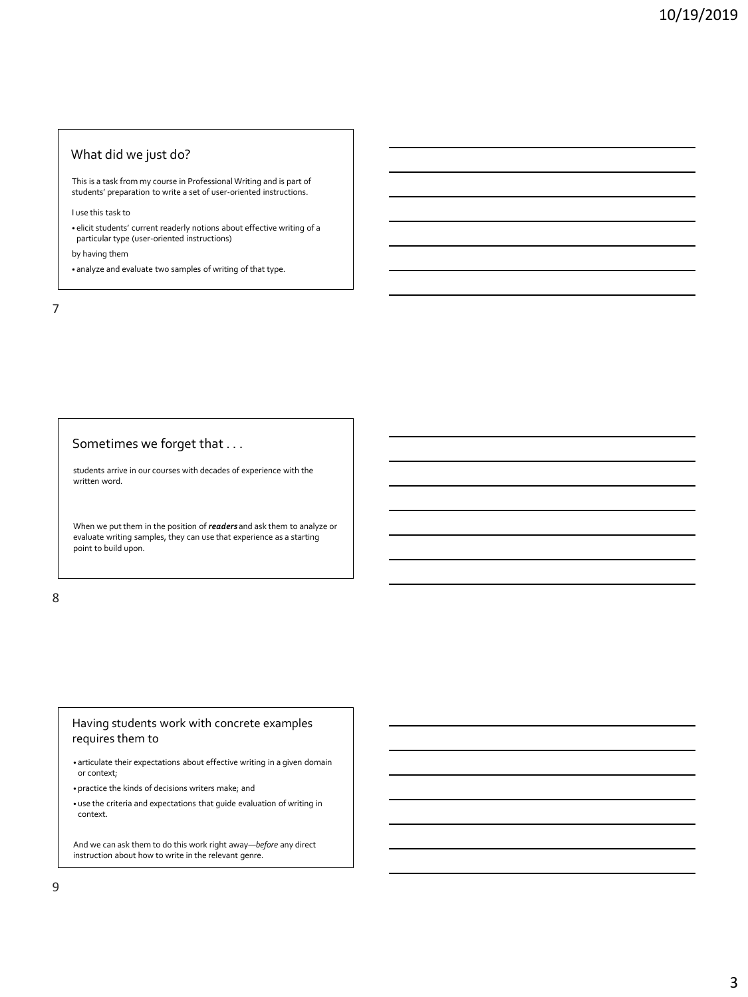## What did we just do?

This is a task from my course in Professional Writing and is part of students' preparation to write a set of user-oriented instructions.

I use this task to

• elicit students' current readerly notions about effective writing of a particular type (user-oriented instructions)

by having them

• analyze and evaluate two samples of writing of that type.

7

# Sometimes we forget that . . .

students arrive in our courses with decades of experience with the written word.

When we put them in the position of *readers* and ask them to analyze or evaluate writing samples, they can use that experience as a starting point to build upon.

8

## Having students work with concrete examples requires them to

- articulate their expectations about effective writing in a given domain or context;
- practice the kinds of decisions writers make; and
- use the criteria and expectations that guide evaluation of writing in context.

And we can ask them to do this work right away—*before* any direct instruction about how to write in the relevant genre.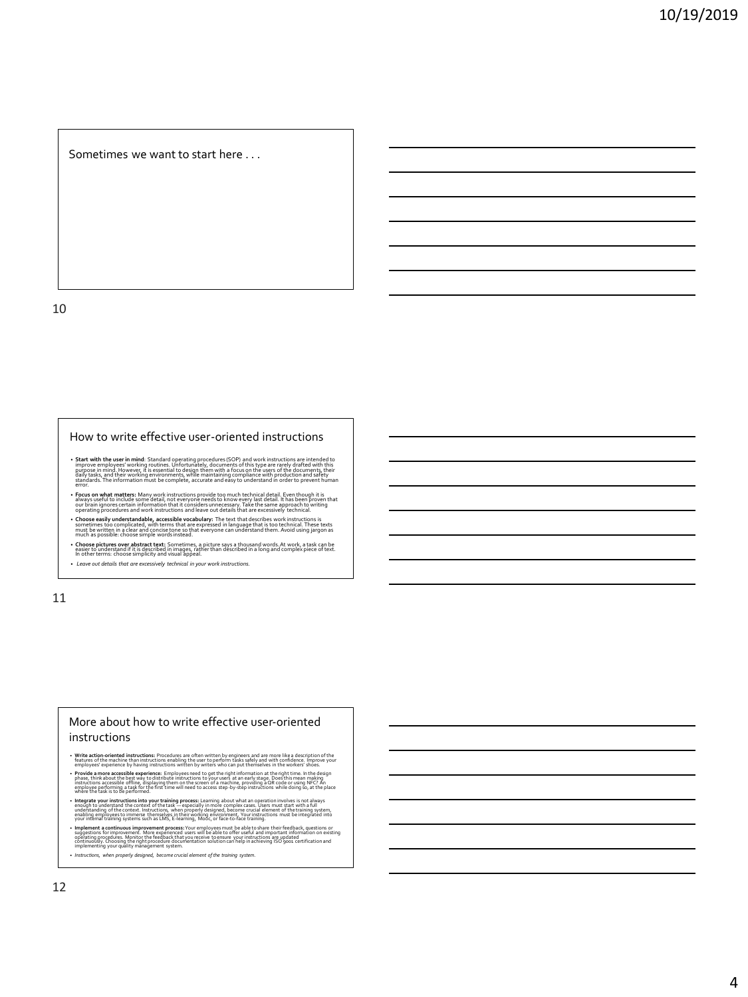Sometimes we want to start here . . .

10

#### How to write effective user-oriented instructions

- **Start with the user in mind:** Standard operating procedures (SOP) and work instructions are intended to improve employees' working routines. Unfortunately, documents of this type are rarely drafted with this purpose in m
- Focus on what matters: Many work instructions provide too much technical detail. Even though it is<br>always useful to include some detail, not everyone needs to know every last detail. It has been proven that<br>operating pro
- Choose easily understandable, accessible vocabulary: The text that describes work instructions is<br>Sometimes too complicated, with terms that are expressed in language that is too technical. These texts<br>must be written in
- Choose pictures over abstract text: Sometimes, a picture says a thousand words. At work, a task can be<br>easier to understand if it is described in images, rather than described in a long and complex piece of text.<br>In othe
- *Leave out details that are excessively technical in your work instructions.*

11

## More about how to write effective user-oriented instructions

• Write action-oriented instructions: Procedures are often written by engineers and are more like a description of the<br>features of the machine than instructions enabling the user to perform tasks safely and with confidence

• Provide a more accessible experience: Employees need to get the right information at the right time. In the design<br>Intervalse the recessible officing displaying them on the screen of a machine, providing a Quest for usin

- Integrate you instructions into your training process: Learning about what an operation involves is not always<br>- enough to understand the context of the task —especially in more complex cases. Users must start with a ful
- Implement a continuous improvement process: Your employees must be able to share their feedback, questions or<br>Suggestions for improvement. More experienced users will be able to offer useful and important information on
- *Instructions, when properly designed, become crucial element of the training system.*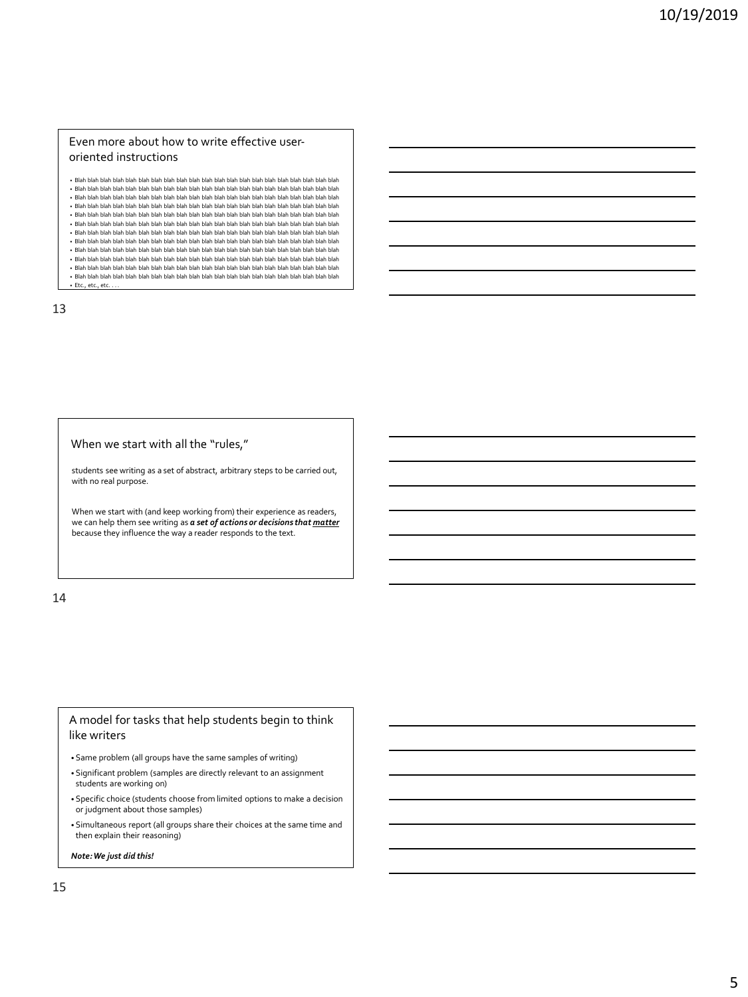## Even more about how to write effective useroriented instructions

- Blah blah blah blah blah blah blah blah blah blah blah blah blah blah blah blah blah blah blah blah blah • Blah blah blah blah blah blah blah blah blah blah blah blah blah blah blah blah blah blah blah blah blah • Blah blah blah blah blah blah blah blah blah blah blah blah blah blah blah blah blah blah blah blah blah • Blah blah blah blah blah blah blah blah blah blah blah blah blah blah blah blah blah blah blah blah blah • Blah blah blah blah blah blah blah blah blah blah blah blah blah blah blah blah blah blah blah blah blah • Blah blah blah blah blah blah blah blah blah blah blah blah blah blah blah blah blah blah blah blah blah • Blah blah blah blah blah blah blah blah blah blah blah blah blah blah blah blah blah blah blah blah blah • Blah blah blah blah blah blah blah blah blah blah blah blah blah blah blah blah blah blah blah blah blah • Blah blah blah blah blah blah blah blah blah blah blah blah blah blah blah blah blah blah blah blah blah • Blah blah blah blah blah blah blah blah blah blah blah blah blah blah blah blah blah blah blah blah blah • Blah blah blah blah blah blah blah blah blah blah blah blah blah blah blah blah blah blah blah blah blah
- Blah blah blah blah blah blah blah blah blah blah blah blah blah blah blah blah blah blah blah blah blah • Etc., etc., etc.

13

#### When we start with all the "rules,"

students see writing as a set of abstract, arbitrary steps to be carried out, with no real purpose.

When we start with (and keep working from) their experience as readers, we can help them see writing as *a set of actions or decisions that matter* because they influence the way a reader responds to the text.

14

## A model for tasks that help students begin to think like writers

- Same problem (all groups have the same samples of writing)
- Significant problem (samples are directly relevant to an assignment students are working on)
- Specific choice (students choose from limited options to make a decision or judgment about those samples)
- Simultaneous report (all groups share their choices at the same time and then explain their reasoning)

*Note: We just did this!*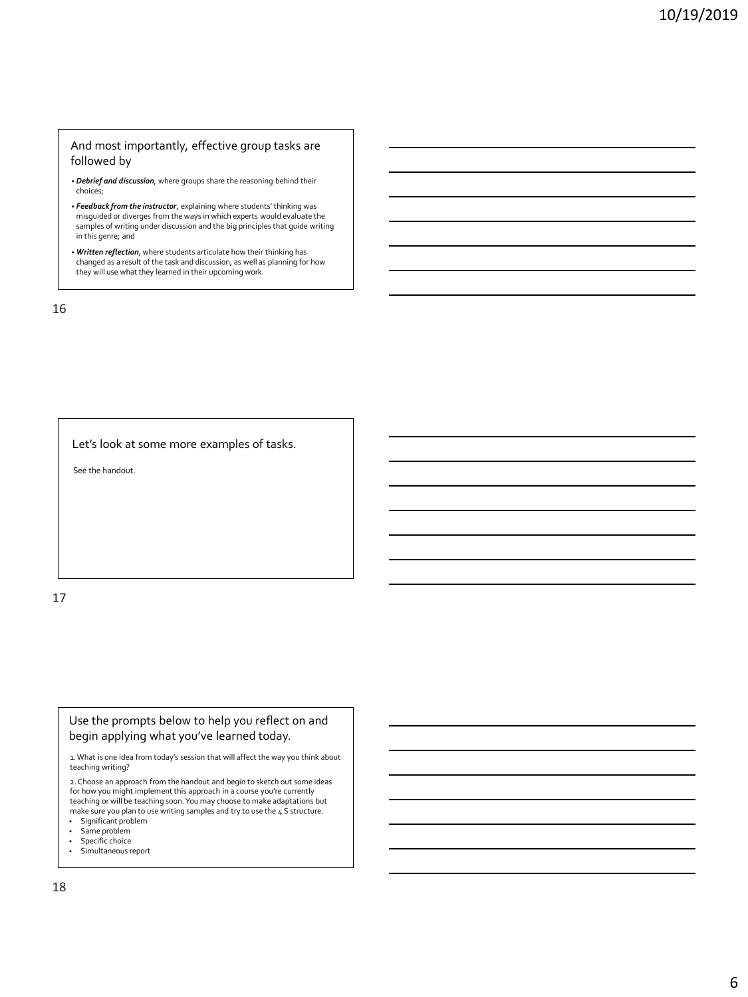## And most importantly, effective group tasks are followed by

- *Debrief and discussion*, where groups share the reasoning behind their choices;
- *Feedback from the instructor*, explaining where students' thinking was misguided or diverges from the ways in which experts would evaluate the samples of writing under discussion and the big principles that guide writing in this genre; and
- *Written reflection*, where students articulate how their thinking has changed as a result of the task and discussion, as well as planning for how they will use what they learned in their upcoming work.

16

Let's look at some more examples of tasks.

See the handout.

17

Use the prompts below to help you reflect on and begin applying what you've learned today.

1. What is one idea from today's session that will affect the way you think about teaching writing?

2. Choose an approach from the handout and begin to sketch out some ideas for how you might implement this approach in a course you're currently teaching or will be teaching soon. You may choose to make adaptations but make sure you plan to use writing samples and try to use the 4 S structure.

- Significant problem
- Same problem Specific choice
- Simultaneous report